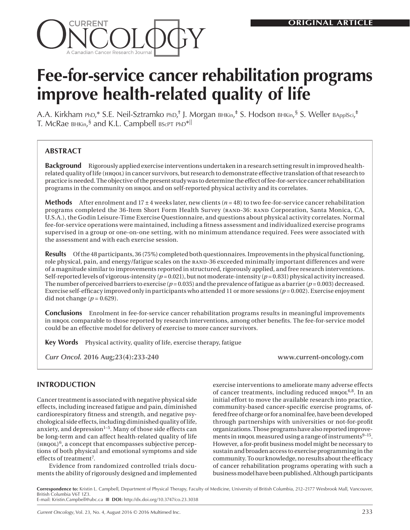

# **Fee-for-service cancer rehabilitation programs improve health-related quality of life**

A.A. Kirkham phd,\* S.E. Neil-Sztramko phd,† J. Morgan внкіп,<sup>‡</sup> S. Hodson внкіп,<sup>§</sup> S. Weller ва<sub>ррі</sub>ѕсі,<sup>‡</sup> Т. МсRае внкіл, $^{\$}$  and K.L. Campbell вѕсрт рһ $D^{\ast||}$ 

# **ABSTRACT**

**Background** Rigorously applied exercise interventions undertaken in a research setting result in improved healthrelated quality of life (hrqol) in cancer survivors, but research to demonstrate effective translation of that research to practice is needed. The objective of the present study was to determine the effect of fee-for-service cancer rehabilitation programs in the community on hrqol and on self-reported physical activity and its correlates.

**Methods** After enrolment and 17 ± 4 weeks later, new clients (*n* = 48) to two fee-for-service cancer rehabilitation programs completed the 36-Item Short Form Health Survey (RAND-36: RAND Corporation, Santa Monica, CA, U.S.A.), the Godin Leisure-Time Exercise Questionnaire, and questions about physical activity correlates. Normal fee-for-service operations were maintained, including a fitness assessment and individualized exercise programs supervised in a group or one-on-one setting, with no minimum attendance required. Fees were associated with the assessment and with each exercise session.

**Results** Of the 48 participants, 36 (75%) completed both questionnaires. Improvements in the physical functioning, role physical, pain, and energy/fatigue scales on the RAND-36 exceeded minimally important differences and were of a magnitude similar to improvements reported in structured, rigorously applied, and free research interventions. Self-reported levels of vigorous-intensity  $(p=0.021)$ , but not moderate-intensity  $(p=0.831)$  physical activity increased. The number of perceived barriers to exercise ( $p = 0.035$ ) and the prevalence of fatigue as a barrier ( $p = 0.003$ ) decreased. Exercise self-efficacy improved only in participants who attended 11 or more sessions  $(p=0.002)$ . Exercise enjoyment did not change  $(p = 0.629)$ .

**Conclusions** Enrolment in fee-for-service cancer rehabilitation programs results in meaningful improvements in hrqol comparable to those reported by research interventions, among other benefits. The fee-for-service model could be an effective model for delivery of exercise to more cancer survivors.

**Key Words** Physical activity, quality of life, exercise therapy, fatigue

*Curr Oncol.* **2016 Aug;23(4):233-240 www.current-oncology.com**

# **INTRODUCTION**

Cancer treatment is associated with negative physical side effects, including increased fatigue and pain, diminished cardiorespiratory fitness and strength, and negative psychological side effects, including diminished quality of life, anxiety, and depression<sup>1-5</sup>. Many of those side effects can be long-term and can affect health-related quality of life  $(HRQOL)^6$ , a concept that encompasses subjective perceptions of both physical and emotional symptoms and side effects of treatment<sup>7</sup>.

Evidence from randomized controlled trials documents the ability of rigorously designed and implemented exercise interventions to ameliorate many adverse effects of cancer treatments, including reduced  $HROO<sup>6,8</sup>$ . In an initial effort to move the available research into practice, community-based cancer-specific exercise programs, offered free of charge or for a nominal fee, have been developed through partnerships with universities or not-for-profit organizations. Those programs have also reported improvements in HRQOL measured using a range of instruments<sup>9-15</sup>. However, a for-profit business model might be necessary to sustain and broaden access to exercise programming in the community. To our knowledge, no results about the efficacy of cancer rehabilitation programs operating with such a business model have been published. Although participants

**Correspondence to:** Kristin L. Campbell, Department of Physical Therapy, Faculty of Medicine, University of British Columbia, 212–2177 Wesbrook Mall, Vancouver, British Columbia V6T 1Z3. E-mail: Kristin.Campbell@ubc.ca n **DOI:** http://dx.doi.org/10.3747/co.23.3038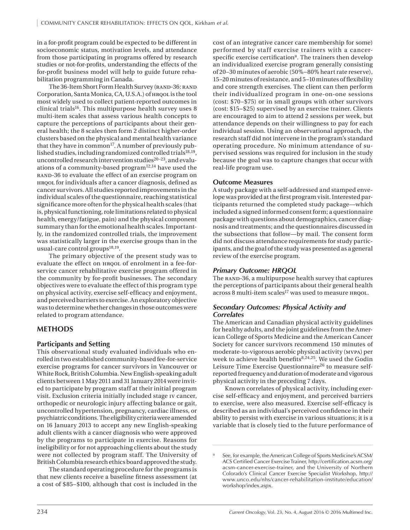in a for-profit program could be expected to be different in socioeconomic status, motivation levels, and attendance from those participating in programs offered by research studies or not-for-profits, understanding the effects of the for-profit business model will help to guide future rehabilitation programming in Canada.

The 36-Item Short Form Health Survey (RAND-36: RAND Corporation, Santa Monica, CA, U.S.A.) of  $H_R$  and is the tool most widely used to collect patient-reported outcomes in clinical trials<sup>16</sup>. This multipurpose health survey uses 8 multi-item scales that assess various health concepts to capture the perceptions of participants about their general health; the 8 scales then form 2 distinct higher-order clusters based on the physical and mental health variance that they have in common<sup>17</sup>. A number of previously published studies, including randomized controlled trials<sup>18,19</sup>, uncontrolled research intervention studies $20-23$ , and evaluations of a community-based program $12,14$  have used the rand-36 to evaluate the effect of an exercise program on hrqol for individuals after a cancer diagnosis, defined as cancer survivors. All studies reported improvements in the individual scales of the questionnaire, reaching statistical significance more often for the physical health scales (that is, physical functioning, role limitations related to physical health, energy/fatigue, pain) and the physical component summary than for the emotional health scales. Importantly, in the randomized controlled trials, the improvement was statistically larger in the exercise groups than in the usual-care control groups $18,19$ .

The primary objective of the present study was to evaluate the effect on  $HROOL$  of enrolment in a fee-forservice cancer rehabilitative exercise program offered in the community by for-profit businesses. The secondary objectives were to evaluate the effect of this program type on physical activity, exercise self-efficacy and enjoyment, and perceived barriers to exercise. An exploratory objective was to determine whether changes in those outcomes were related to program attendance.

# **METHODS**

## **Participants and Setting**

This observational study evaluated individuals who enrolled in two established community-based fee-for-service exercise programs for cancer survivors in Vancouver or White Rock, British Columbia. New English-speaking adult clients between 1 May 2011 and 31 January 2014 were invited to participate by program staff at their initial program visit. Exclusion criteria initially included stage iv cancer, orthopedic or neurologic injury affecting balance or gait, uncontrolled hypertension, pregnancy, cardiac illness, or psychiatric conditions. The eligibility criteria were amended on 16 January 2013 to accept any new English-speaking adult clients with a cancer diagnosis who were approved by the programs to participate in exercise. Reasons for ineligibility or for not approaching clients about the study were not collected by program staff. The University of British Columbia research ethics board approved the study.

The standard operating procedure for the programs is that new clients receive a baseline fitness assessment (at a cost of \$85–\$100, although that cost is included in the

cost of an integrative cancer care membership for some) performed by staff exercise trainers with a cancerspecific exercise certification<sup>a</sup>. The trainers then develop an individualized exercise program generally consisting of 20–30 minutes of aerobic (50%–80% heart rate reserve), 15–20 minutes of resistance, and 5–10 minutes of flexibility and core strength exercises. The client can then perform their individualized program in one-on-one sessions (cost: \$70–\$75) or in small groups with other survivors (cost: \$15–\$25) supervised by an exercise trainer. Clients are encouraged to aim to attend 2 sessions per week, but attendance depends on their willingness to pay for each individual session. Using an observational approach, the research staff did not intervene in the program's standard operating procedure. No minimum attendance of supervised sessions was required for inclusion in the study because the goal was to capture changes that occur with real-life program use.

#### **Outcome Measures**

A study package with a self-addressed and stamped envelope was provided at the first program visit. Interested participants returned the completed study package—which included a signed informed consent form; a questionnaire package with questions about demographics, cancer diagnosis and treatments; and the questionnaires discussed in the subsections that follow—by mail. The consent form did not discuss attendance requirements for study participants, and the goal of the study was presented as a general review of the exercise program.

## *Primary Outcome: HRQOL*

The RAND-36, a multipurpose health survey that captures the perceptions of participants about their general health across 8 multi-item scales<sup>17</sup> was used to measure  $HROOL$ .

#### *Secondary Outcomes: Physical Activity and Correlates*

The American and Canadian physical activity guidelines for healthy adults, and the joint guidelines from the American College of Sports Medicine and the American Cancer Society for cancer survivors recommend 150 minutes of moderate-to-vigorous aerobic physical activity (mvpa) per week to achieve health benefits<sup>8,24,25</sup>. We used the Godin Leisure Time Exercise Questionnaire<sup>26</sup> to measure selfreported frequency and duration of moderate and vigorous physical activity in the preceding 7 days.

Known correlates of physical activity, including exercise self-efficacy and enjoyment, and perceived barriers to exercise, were also measured. Exercise self-efficacy is described as an individual's perceived confidence in their ability to persist with exercise in various situations; it is a variable that is closely tied to the future performance of

See, for example, the American College of Sports Medicine's ACSM/ ACS Certified Cancer Exercise Trainer, [http://certification.acsm.org/](http://certification.acsm.org/acsm-cancer-exercise-trainer) [acsm-cancer-exercise-trainer](http://certification.acsm.org/acsm-cancer-exercise-trainer), and the University of Northern Colorado's Clinical Cancer Exercise Specialist Workshop, [http://](http://www.unco.edu/nhs/cancer-rehabilitation-institute/education/workshop/index.aspx) [www.unco.edu/nhs/cancer-rehabilitation-institute/education/](http://www.unco.edu/nhs/cancer-rehabilitation-institute/education/workshop/index.aspx) [workshop/index.aspx](http://www.unco.edu/nhs/cancer-rehabilitation-institute/education/workshop/index.aspx).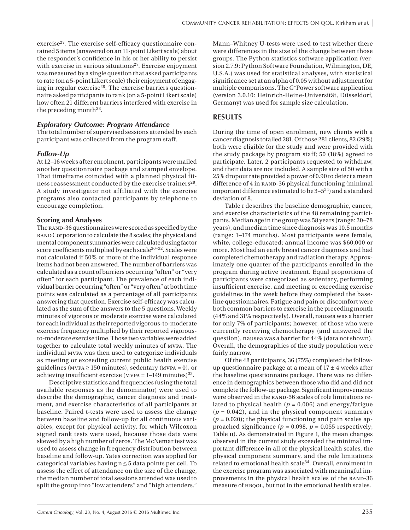exercise<sup>27</sup>. The exercise self-efficacy questionnaire contained 5 items (answered on an 11-point Likert scale) about the responder's confidence in his or her ability to persist with exercise in various situations<sup>27</sup>. Exercise enjoyment was measured by a single question that asked participants to rate (on a 5-point Likert scale) their enjoyment of engaging in regular exercise $28$ . The exercise barriers questionnaire asked participants to rank (on a 5-point Likert scale) how often 21 different barriers interfered with exercise in the preceding month<sup>28</sup>.

#### *Exploratory Outcome: Program Attendance*

The total number of supervised sessions attended by each participant was collected from the program staff.

#### *Follow-Up*

At 12–16 weeks after enrolment, participants were mailed another questionnaire package and stamped envelope. That timeframe coincided with a planned physical fitness reassessment conducted by the exercise trainers<sup>29</sup>. A study investigator not affiliated with the exercise programs also contacted participants by telephone to encourage completion.

#### **Scoring and Analyses**

The RAND-36 questionnaires were scored as specified by the rand Corporation to calculate the 8 scales; the physical and mental component summaries were calculated using factor score coefficients multiplied by each scale<sup>30-32</sup>. Scales were not calculated if 50% or more of the individual response items had not been answered. The number of barriers was calculated as a count of barriers occurring "often" or "very often" for each participant. The prevalence of each individual barrier occurring "often" or "very often" at both time points was calculated as a percentage of all participants answering that question. Exercise self-efficacy was calculated as the sum of the answers to the 5 questions. Weekly minutes of vigorous or moderate exercise were calculated for each individual as their reported vigorous-to-moderate exercise frequency multiplied by their reported vigorousto-moderate exercise time. Those two variables were added together to calculate total weekly minutes of mvpa. The individual mvpa was then used to categorize individuals as meeting or exceeding current public health exercise guidelines ( $MvPA \ge 150$  minutes), sedentary ( $MvPA = 0$ ), or achieving insufficient exercise ( $MvPA = 1-149$  minutes)<sup>33</sup>.

Descriptive statistics and frequencies (using the total available responses as the denominator) were used to describe the demographic, cancer diagnosis and treatment, and exercise characteristics of all participants at baseline. Paired t-tests were used to assess the change between baseline and follow-up for all continuous variables, except for physical activity, for which Wilcoxon signed rank tests were used, because those data were skewed by a high number of zeros. The McNemar test was used to assess change in frequency distribution between baseline and follow-up. Yates correction was applied for categorical variables having  $n \leq 5$  data points per cell. To assess the effect of attendance on the size of the change, the median number of total sessions attended was used to split the group into "low attenders" and "high attenders."

Mann–Whitney U-tests were used to test whether there were differences in the size of the change between those groups. The Python statistics software application (version 2.7.9: Python Software Foundation, Wilmington, DE, U.S.A.) was used for statistical analyses, with statistical significance set at an alpha of 0.05 without adjustment for multiple comparisons. The G\*Power software application (version 3.0.10: Heinrich-Heine-Universität, Düsseldorf, Germany) was used for sample size calculation.

## **RESULTS**

During the time of open enrolment, new clients with a cancer diagnosis totalled 281. Of those 281 clients, 82 (29%) both were eligible for the study and were provided with the study package by program staff; 50 (18%) agreed to participate. Later, 2 participants requested to withdraw, and their data are not included. A sample size of 50 with a 25% dropout rate provided a power of 0.90 to detect a mean difference of  $4$  in RAND-36 physical functioning (minimal important difference estimated to be  $3-5^{34}$ ) and a standard deviation of 8.

Table i describes the baseline demographic, cancer, and exercise characteristics of the 48 remaining participants. Median age in the group was 58 years (range: 20–78 years), and median time since diagnosis was 10.5 months (range: 1–174 months). Most participants were female, white, college-educated; annual income was \$60,000 or more. Most had an early breast cancer diagnosis and had completed chemotherapy and radiation therapy. Approximately one quarter of the participants enrolled in the program during active treatment. Equal proportions of participants were categorized as sedentary, performing insufficient exercise, and meeting or exceeding exercise guidelines in the week before they completed the baseline questionnaires. Fatigue and pain or discomfort were both common barriers to exercise in the preceding month (44% and 31% respectively). Overall, nausea was a barrier for only 7% of participants; however, of those who were currently receiving chemotherapy (and answered the question), nausea was a barrier for 44% (data not shown). Overall, the demographics of the study population were fairly narrow.

Of the 48 participants, 36 (75%) completed the followup questionnaire package at a mean of  $17 \pm 4$  weeks after the baseline questionnaire package. There was no difference in demographics between those who did and did not complete the follow-up package. Significant improvements were observed in the RAND-36 scales of role limitations related to physical health ( $p = 0.006$ ) and energy/fatigue  $(p = 0.042)$ , and in the physical component summary  $(p = 0.020)$ ; the physical functioning and pain scales approached significance ( $p = 0.098$ ,  $p = 0.055$  respectively; Table II). As demonstrated in Figure 1, the mean changes observed in the current study exceeded the minimal important difference in all of the physical health scales, the physical component summary, and the role limitations related to emotional health scale34. Overall, enrolment in the exercise program was associated with meaningful improvements in the physical health scales of the RAND-36 measure of  $HROOL$ , but not in the emotional health scales.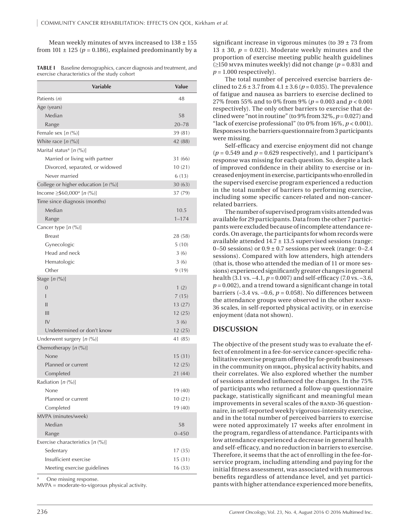Mean weekly minutes of MVPA increased to  $138 \pm 155$ from 101  $\pm$  125 ( $p$  = 0.186), explained predominantly by a

**TABLE I** Baseline demographics, cancer diagnosis and treatment, and exercise characteristics of the study cohort

| Variable                                    | Value     |
|---------------------------------------------|-----------|
| Patients (n)                                | 48        |
| Age (years)                                 |           |
| Median                                      | 58        |
| Range                                       | $20 - 78$ |
| Female sex $[n (%)]$                        | 39 (81)   |
| White race $[n (%)]$                        | 42 (88)   |
| Marital status <sup>a</sup> [n $(\%)$ ]     |           |
| Married or living with partner              | 31 (66)   |
| Divorced, separated, or widowed             | 10(21)    |
| Never married                               | 6(13)     |
| College or higher education $[n (%)]$       | 30(63)    |
| Income $\geq$ \$60,000 <sup>a</sup> [n (%)] | 37 (79)   |
| Time since diagnosis (months)               |           |
| Median                                      | 10.5      |
| Range                                       | $1 - 174$ |
| Cancer type [n (%)]                         |           |
| <b>Breast</b>                               | 28 (58)   |
| Gynecologic                                 | 5(10)     |
| Head and neck                               | 3(6)      |
| Hematologic                                 | 3(6)      |
| Other                                       | 9(19)     |
| Stage $[n (%)]$                             |           |
| $\overline{0}$                              | 1(2)      |
| I                                           | 7(15)     |
| Ш                                           | 13(27)    |
| Ш                                           | 12(25)    |
| IV                                          | 3(6)      |
| Undetermined or don't know                  | 12(25)    |
| Underwent surgery $[n (%)]$                 | 41 (85)   |
| Chemotherapy $[n (%)]$                      |           |
| None                                        | 15(31)    |
| Planned or current                          | 12(25)    |
| Completed                                   | 21 (44)   |
| Radiation $[n (%)]$                         |           |
| None                                        | 19(40)    |
| Planned or current                          | 10(21)    |
| Completed                                   | 19(40)    |
| MVPA (minutes/week)                         |           |
| Median                                      | 58        |
| Range                                       | $0 - 450$ |
| Exercise characteristics $[n (%)]$          |           |
| Sedentary                                   | 17(35)    |
| Insufficient exercise                       | 15(31)    |
| Meeting exercise guidelines                 | 16(33)    |

One missing response.

MVPA = moderate-to-vigorous physical activity.

significant increase in vigorous minutes (to  $39 \pm 73$  from  $13 \pm 30$ ,  $p = 0.021$ ). Moderate weekly minutes and the proportion of exercise meeting public health guidelines (≥150 mvpa minutes weekly) did not change (*p* = 0.831 and  $p = 1.000$  respectively).

The total number of perceived exercise barriers declined to  $2.6 \pm 3.7$  from  $4.1 \pm 3.6$  ( $p = 0.035$ ). The prevalence of fatigue and nausea as barriers to exercise declined to 27% from 55% and to 0% from 9% (*p* = 0.003 and *p* < 0.001 respectively). The only other barriers to exercise that declined were "not in routine" (to 9% from 32%, *p* = 0.027) and "lack of exercise professional" (to  $0\%$  from  $16\%, p < 0.001$ ). Responses to the barriers questionnaire from 3 participants were missing.

Self-efficacy and exercise enjoyment did not change  $(p = 0.549$  and  $p = 0.629$  respectively), and 1 participant's response was missing for each question. So, despite a lack of improved confidence in their ability to exercise or increased enjoyment in exercise, participants who enrolled in the supervised exercise program experienced a reduction in the total number of barriers to performing exercise, including some specific cancer-related and non-cancerrelated barriers.

The number of supervised program visits attended was available for 29 participants. Data from the other 7 participants were excluded because of incomplete attendance records. On average, the participants for whom records were available attended  $14.7 \pm 13.5$  supervised sessions (range: 0–50 sessions) or  $0.9 \pm 0.7$  sessions per week (range: 0–2.4 sessions). Compared with low attenders, high attenders (that is, those who attended the median of 11 or more sessions) experienced significantly greater changes in general health (3.1 vs. –4.1, *p* = 0.007) and self-efficacy (7.0 vs. –3.6, *p* = 0.002), and a trend toward a significant change in total barriers  $(-3.4 \text{ vs. } -0.6, p = 0.058)$ . No differences between the attendance groups were observed in the other RAND-36 scales, in self-reported physical activity, or in exercise enjoyment (data not shown).

#### **DISCUSSION**

The objective of the present study was to evaluate the effect of enrolment in a fee-for-service cancer-specific rehabilitative exercise program offered by for-profit businesses in the community on  $HQOL$ , physical activity habits, and their correlates. We also explored whether the number of sessions attended influenced the changes. In the 75% of participants who returned a follow-up questionnaire package, statistically significant and meaningful mean improvements in several scales of the RAND-36 questionnaire, in self-reported weekly vigorous-intensity exercise, and in the total number of perceived barriers to exercise were noted approximately 17 weeks after enrolment in the program, regardless of attendance. Participants with low attendance experienced a decrease in general health and self-efficacy, and no reduction in barriers to exercise. Therefore, it seems that the act of enrolling in the fee-forservice program, including attending and paying for the initial fitness assessment, was associated with numerous benefits regardless of attendance level, and yet participants with higher attendance experienced more benefits,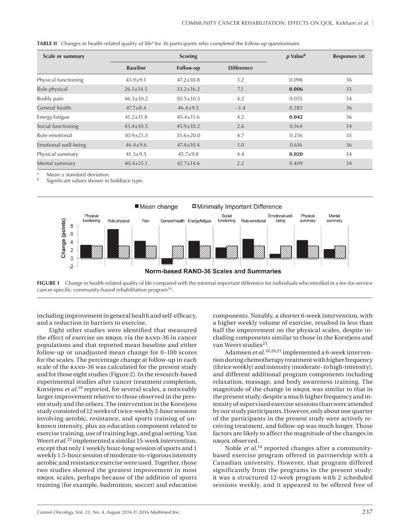| <b>Scoring</b><br>Scale or summary |                 |                 | <i>p</i> Value <sup>b</sup> | Responses (n) |    |
|------------------------------------|-----------------|-----------------|-----------------------------|---------------|----|
|                                    | <b>Baseline</b> | Follow-up       | <b>Difference</b>           |               |    |
| Physical functioning               | $43.9 \pm 9.1$  | $47.2 \pm 10.8$ | 3.2                         | 0.098         | 36 |
| Role physical                      | $26.1 \pm 14.5$ | $33.2 \pm 16.2$ | 7.1                         | 0.006         | 33 |
| Bodily pain                        | $46.3 \pm 10.2$ | $50.5 \pm 10.5$ | 4.2                         | 0.055         | 34 |
| General health                     | $47.7 \pm 8.4$  | $46.4 \pm 9.5$  | $-1.4$                      | 0.283         | 36 |
| Energy/fatigue                     | $41.2 \pm 11.8$ | $45.4 \pm 11.6$ | 4.2                         | 0.042         | 36 |
| Social functioning                 | $43.4 \pm 10.5$ | $45.9 \pm 10.2$ | 2.6                         | 0.164         | 34 |
| Role emotional                     | $30.9 \pm 21.3$ | $35.6 + 20.0$   | 4.7                         | 0.216         | 33 |
| Emotional well-being               | $46.4 \pm 9.6$  | $47.4 \pm 10.4$ | 1.0                         | 0.616         | 36 |
| Physical summary                   | $41.3 \pm 9.5$  | $45.7 \pm 9.8$  | 4.4                         | 0.020         | 34 |
| Mental summary                     | $40.4 \pm 15.1$ | $42.7 \pm 14.6$ | 2.2                         | 0.409         | 34 |

**TABLE II** Changes in health-related quality of life<sup>a</sup> for 36 participants who completed the follow-up questionnaire

 $A^a$  Mean  $\pm$  standard deviation.

Significant values shown in boldface type.



**FIGURE 1** Change in health-related quality of life compared with the minimal important difference for individuals who enrolled in a fee-for-service cancer-specific community-based rehabilitation program34.

including improvement in general health and self-efficacy, and a reduction in barriers to exercise.

Eight other studies were identified that measured the effect of exercise on HRQOL via the RAND-36 in cancer populations and that reported mean baseline and either follow-up or unadjusted mean change for 0–100 scores for the scales. The percentage change at follow-up in each scale of the RAND-36 was calculated for the present study and for those eight studies (Figure 2). In the research-based experimental studies after cancer treatment completion, Korstjens *et al.*19 reported, for several scales, a noticeably larger improvement relative to those observed in the present study and the others. The intervention in the Korstjens study consisted of 12 weeks of twice-weekly 2-hour sessions involving aerobic, resistance, and sports training of unknown intensity, plus an education component related to exercise training, use of training logs, and goal setting. Van Weert *et al.*22 implemented a similar 15-week intervention, except that only 1 weekly hour-long session of sports and 1 weekly 1.5-hour session of moderate-to-vigorous intensity aerobic and resistance exercise were used. Together, those two studies showed the greatest improvement in most hrqol scales, perhaps because of the addition of sports training (for example, badminton, soccer) and education

components. Notably, a shorter 6-week intervention, with a higher weekly volume of exercise, resulted in less than half the improvement on the physical scales, despite including components similar to those in the Korstjens and van Weert studies<sup>23</sup>.

Adamsen *et al.*18,20,21 implemented a 6-week intervention during chemotherapy treatment with higher frequency (thrice weekly) and intensity (moderate- to high-intensity), and different additional program components including relaxation, massage, and body awareness training. The magnitude of the change in HRQOL was similar to that in the present study, despite a much higher frequency and intensity of supervised exercise sessions than were attended by our study participants. However, only about one quarter of the participants in the present study were actively receiving treatment, and follow-up was much longer. Those factors are likely to affect the magnitude of the changes in HROOL observed.

Noble *et al.*14 reported changes after a communitybased exercise program offered in partnership with a Canadian university. However, that program differed significantly from the programs in the present study: it was a structured 12-week program with 2 scheduled sessions weekly, and it appeared to be offered free of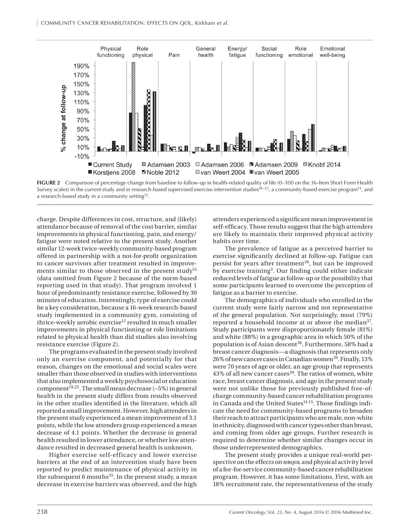

**FIGURE 2** Comparison of percentage change from baseline to follow-up in health-related quality of life (0–100 on the 36-Item Short Form Health Survey scales) in the current study and in research-based supervised exercise intervention studies<sup>18–23</sup>, a community-based exercise program<sup>14</sup>, and a research-based study in a community setting12.

charge. Despite differences in cost, structure, and (likely) attendance because of removal of the cost barrier, similar improvements in physical functioning, pain, and energy/ fatigue were noted relative to the present study. Another similar 12-week twice-weekly community-based program offered in partnership with a not-for-profit organization to cancer survivors after treatment resulted in improvements similar to those observed in the present study<sup>15</sup> (data omitted from Figure 2 because of the norm-based reporting used in that study). That program involved 1 hour of predominantly resistance exercise, followed by 30 minutes of education. Interestingly, type of exercise could be a key consideration, because a 16-week research-based study implemented in a community gym, consisting of thrice-weekly aerobic exercise<sup>12</sup> resulted in much smaller improvements in physical functioning or role limitations related to physical health than did studies also involving resistance exercise (Figure 2).

The programs evaluated in the present study involved only an exercise component, and potentially for that reason, changes on the emotional and social scales were smaller than those observed in studies with interventions that also implemented a weekly psychosocial or education component<sup>19,22</sup>. The small mean decrease  $(-5\%)$  in general health in the present study differs from results observed in the other studies identified in the literature, which all reported a small improvement. However, high attenders in the present study experienced a mean improvement of 3.1 points, while the low attenders group experienced a mean decrease of 4.1 points. Whether the decrease in general health resulted in lower attendance, or whether low attendance resulted in decreased general health is unknown.

Higher exercise self-efficacy and lower exercise barriers at the end of an intervention study have been reported to predict maintenance of physical activity in the subsequent 6 months<sup>35</sup>. In the present study, a mean decrease in exercise barriers was observed, and the high attenders experienced a significant mean improvement in self-efficacy. Those results suggest that the high attenders are likely to maintain their improved physical activity habits over time.

The prevalence of fatigue as a perceived barrier to exercise significantly declined at follow-up. Fatigue can persist for years after treatment<sup>36</sup>, but can be improved by exercise training<sup>3</sup>. Our finding could either indicate reduced levels of fatigue at follow-up or the possibility that some participants learned to overcome the perception of fatigue as a barrier to exercise.

The demographics of individuals who enrolled in the current study were fairly narrow and not representative of the general population. Not surprisingly, most (79%) reported a household income at or above the median<sup>37</sup>. Study participants were disproportionately female (81%) and white (88%) in a geographic area in which 50% of the population is of Asian descent<sup>38</sup>. Furthermore, 58% had a breast cancer diagnosis—a diagnosis that represents only 26% of new cancer cases in Canadian women<sup>39</sup>. Finally, 13% were 70 years of age or older, an age group that represents 43% of all new cancer cases<sup>39</sup>. The ratios of women, white race, breast cancer diagnosis, and age in the present study were not unlike those for previously published free-ofcharge community-based cancer rehabilitation programs in Canada and the United States<sup>14,15</sup>. Those findings indicate the need for community-based programs to broaden their reach to attract participants who are male, non-white in ethnicity, diagnosed with cancer types other than breast, and coming from older age groups. Further research is required to determine whether similar changes occur in those underrepresented demographics.

The present study provides a unique real-world perspective on the effects on  $H RQOL$  and physical activity level of a fee-for-service community-based cancer rehabilitation program. However, it has some limitations. First, with an 18% recruitment rate, the representativeness of the study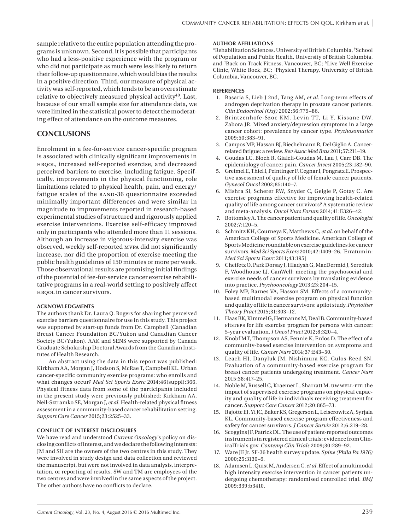sample relative to the entire population attending the programs is unknown. Second, it is possible that participants who had a less-positive experience with the program or who did not participate as much were less likely to return their follow-up questionnaire, which would bias the results in a positive direction. Third, our measure of physical activity was self-reported, which tends to be an overestimate relative to objectively measured physical activity<sup>40</sup>. Last, because of our small sample size for attendance data, we were limited in the statistical power to detect the moderating effect of attendance on the outcome measures.

## **CONCLUSIONS**

Enrolment in a fee-for-service cancer-specific program is associated with clinically significant improvements in hrqol, increased self-reported exercise, and decreased perceived barriers to exercise, including fatigue. Specifically, improvements in the physical functioning, role limitations related to physical health, pain, and energy/ fatigue scales of the RAND-36 questionnaire exceeded minimally important differences and were similar in magnitude to improvements reported in research-based experimental studies of structured and rigorously applied exercise interventions. Exercise self-efficacy improved only in participants who attended more than 11 sessions. Although an increase in vigorous-intensity exercise was observed, weekly self-reported mvpa did not significantly increase, nor did the proportion of exercise meeting the public health guidelines of 150 minutes or more per week. Those observational results are promising initial findings of the potential of fee-for-service cancer exercise rehabilitative programs in a real-world setting to positively affect hrqol in cancer survivors.

#### **ACKNOWLEDGMENTS**

The authors thank Dr. Laura Q. Rogers for sharing her perceived exercise barriers questionnaire for use in this study. This project was supported by start-up funds from Dr. Campbell (Canadian Breast Cancer Foundation BC/Yukon and Canadian Cancer Society BC/Yukon). AAK and SENS were supported by Canada Graduate Scholarship Doctoral Awards from the Canadian Institutes of Health Research.

An abstract using the data in this report was published: Kirkham AA, Morgan J, Hodson S, McRae T, Campbell KL. Urban cancer-specific community exercise programs: who enrolls and what changes occur? *Med Sci Sports Exerc* 2014;46(suppl):366. Physical fitness data from some of the participants included in the present study were previously published: Kirkham AA, Neil-Sztramko SE, Morgan J, *et al.* Health-related physical fitness assessment in a community-based cancer rehabilitation setting. *Support Care Cancer* 2015;23:2525–33.

#### **CONFLICT OF INTEREST DISCLOSURES**

We have read and understood *Current Oncology*'s policy on disclosing conflicts of interest, and we declare the following interests: JM and SH are the owners of the two centres in this study. They were involved in study design and data collection and reviewed the manuscript, but were not involved in data analysis, interpretation, or reporting of results. SW and TM are employees of the two centres and were involved in the same aspects of the project. The other authors have no conflicts to declare.

#### **AUTHOR AFFILIATIONS**

\*Rehabilitation Sciences, University of British Columbia, †School of Population and Public Health, University of British Columbia, and ‡Back on Track Fitness, Vancouver, BC; §Live Well Exercise Clinic, White Rock, BC; ||Physical Therapy, University of British Columbia, Vancouver, BC.

#### **REFERENCES**

- 1. Basaria S, Lieb J 2nd, Tang AM, *et al*. Long-term effects of androgen deprivation therapy in prostate cancer patients. *Clin Endocrinol (Oxf)* 2002;56:779–86.
- 2. Brintzenhofe-Szoc KM, Levin TT, Li Y, Kissane DW, Zabora JR. Mixed anxiety/depression symptoms in a large cancer cohort: prevalence by cancer type. *Psychosomatics*  2009;50:383–91.
- 3. Campos MP, Hassan BJ, Riechelmann R, Del Giglio A. Cancerrelated fatigue: a review. *Rev Assoc Med Bras* 2011;57:211–19.
- 4. Goudas LC, Bloch R, Gialeli-Goudas M, Lau J, Carr DB. The epidemiology of cancer pain. *Cancer Invest* 2005;23:182–90.
- 5. Greimel E, Thiel I, Peintinger F, Cegnar I, Pongratz E. Prospective assessment of quality of life of female cancer patients. *Gynecol Oncol* 2002;85:140–7.
- 6. Mishra SI, Scherer RW, Snyder C, Geigle P, Gotay C. Are exercise programs effective for improving health-related quality of life among cancer survivors? A systematic review and meta-analysis. *Oncol Nurs Forum* 2014;41:E326–42.
- 7. Bottomley A. The cancer patient and quality of life. *Oncologist* 2002;7:120–5.
- 8. Schmitz KH, Courneya K, Matthews C, *et al*. on behalf of the American College of Sports Medicine. American College of Sports Medicine roundtable on exercise guidelines for cancer survivors. *Med Sci Sports Exerc* 2010;42:1409–26. [Erratum in: *Med Sci Sports Exerc* 2011;43:195]
- 9. Cheifetz O, Park Dorsay J, Hladysh G, MacDermid J, Serediuk F, Woodhouse LJ. CanWell: meeting the psychosocial and exercise needs of cancer survivors by translating evidence into practice. *Psychooncology* 2013;23:204–15.
- 10. Foley MP, Barnes VA, Hasson SM. Effects of a communitybased multimodal exercise program on physical function and quality of life in cancer survivors: a pilot study. *Physiother Theory Pract* 2015;31:303–12.
- 11. Haas BK, Kimmel G, Hermanns M, Deal B. Community-based fitsteps for life exercise program for persons with cancer: 5-year evaluation. *J Oncol Pract* 2012;8:320–4.
- 12. Knobf MT, Thompson AS, Fennie K, Erdos D. The effect of a community-based exercise intervention on symptoms and quality of life. *Cancer Nurs* 2014;37:E43–50.
- 13. Leach HJ, Danyluk JM, Nishimura KC, Culos-Reed SN. Evaluation of a community-based exercise program for breast cancer patients undergoing treatment. *Cancer Nurs* 2015;38:417–25.
- 14. Noble M, Russell C, Kraemer L, Sharratt M. uw well-FIT: the impact of supervised exercise programs on physical capacity and quality of life in individuals receiving treatment for cancer. *Support Care Cancer* 2012;20:865–73.
- 15. Rajotte EJ, Yi JC, Baker KS, Gregerson L, Leiserowitz A, Syrjala KL. Community-based exercise program effectiveness and safety for cancer survivors. *J Cancer Surviv* 2012;6:219–28.
- 16. Scoggins JF, Patrick DL. The use of patient-reported outcomes instruments in registered clinical trials: evidence from ClinicalTrials.gov. *Contemp Clin Trials* 2009;30:289–92.
- 17. Ware JE Jr. SF-36 health survey update. *Spine (Phila Pa 1976)* 2000;25:3130–9.
- 18. Adamsen L, Quist M, Andersen C, *et al*. Effect of a multimodal high intensity exercise intervention in cancer patients undergoing chemotherapy: randomised controlled trial. *BMJ* 2009;339:b3410.